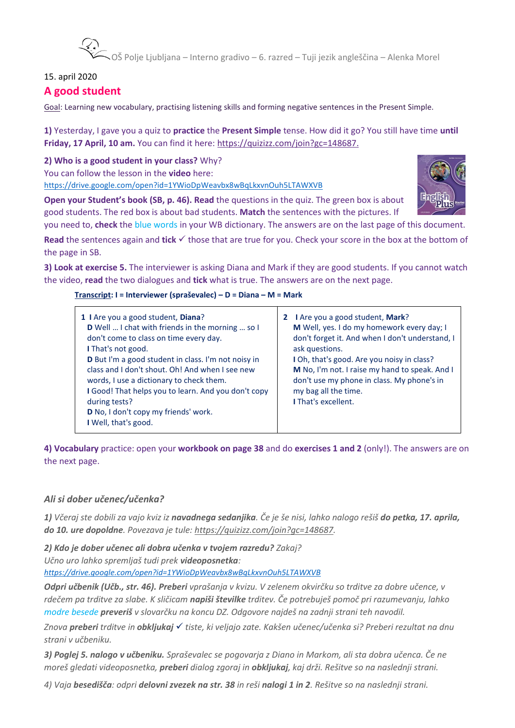–<br>▼OŠ Polje Ljubljana – Interno gradivo – 6. razred – Tuji jezik angleščina – Alenka Morel

#### 15. april 2020

## **A good student**

Goal: Learning new vocabulary, practising listening skills and forming negative sentences in the Present Simple.

**1)** Yesterday, I gave you a quiz to **practice** the **Present Simple** tense. How did it go? You still have time **until Friday, 17 April, 10 am.** You can find it here: [https://quizizz.com/join?gc=148687.](https://quizizz.com/join?gc=148687)

**2) Who is a good student in your class?** Why? You can follow the lesson in the **video** here: <https://drive.google.com/open?id=1YWioDpWeavbx8wBqLkxvnOuh5LTAWXVB>

**Open your Student's book (SB, p. 46). Read** the questions in the quiz. The green box is about good students. The red box is about bad students. **Match** the sentences with the pictures. If

you need to, **check** the blue words in your WB dictionary. The answers are on the last page of this document. **Read** the sentences again and **tick**  $\checkmark$  those that are true for you. Check your score in the box at the bottom of the page in SB.

**3) Look at exercise 5.** The interviewer is asking Diana and Mark if they are good students. If you cannot watch the video, **read** the two dialogues and **tick** what is true. The answers are on the next page.

**Transcript: I = Interviewer (spraševalec) – D = Diana – M = Mark**

| 1 I Are you a good student, Diana?<br><b>D</b> Well  I chat with friends in the morning  so I<br>don't come to class on time every day.<br>I That's not good.<br><b>D</b> But I'm a good student in class. I'm not noisy in<br>class and I don't shout. Oh! And when I see new<br>words, I use a dictionary to check them.<br>I Good! That helps you to learn. And you don't copy<br>during tests?<br>D No, I don't copy my friends' work.<br>I Well, that's good. | 2 I Are you a good student, Mark?<br>M Well, yes. I do my homework every day; I<br>don't forget it. And when I don't understand, I<br>ask questions.<br>I Oh, that's good. Are you noisy in class?<br>M No, I'm not. I raise my hand to speak. And I<br>don't use my phone in class. My phone's in<br>my bag all the time.<br><b>I That's excellent.</b> |
|--------------------------------------------------------------------------------------------------------------------------------------------------------------------------------------------------------------------------------------------------------------------------------------------------------------------------------------------------------------------------------------------------------------------------------------------------------------------|----------------------------------------------------------------------------------------------------------------------------------------------------------------------------------------------------------------------------------------------------------------------------------------------------------------------------------------------------------|
|--------------------------------------------------------------------------------------------------------------------------------------------------------------------------------------------------------------------------------------------------------------------------------------------------------------------------------------------------------------------------------------------------------------------------------------------------------------------|----------------------------------------------------------------------------------------------------------------------------------------------------------------------------------------------------------------------------------------------------------------------------------------------------------------------------------------------------------|

**4) Vocabulary** practice: open your **workbook on page 38** and do **exercises 1 and 2** (only!). The answers are on the next page.

### *Ali si dober učenec/učenka?*

*1) Včeraj ste dobili za vajo kviz iz navadnega sedanjika. Če je še nisi, lahko nalogo rešiš do petka, 17. aprila, do 10. ure dopoldne. Povezava je tule: [https://quizizz.com/join?gc=148687.](https://quizizz.com/join?gc=148687)* 

*2) Kdo je dober učenec ali dobra učenka v tvojem razredu? Zakaj?* 

*Učno uro lahko spremljaš tudi prek videoposnetka:*

*<https://drive.google.com/open?id=1YWioDpWeavbx8wBqLkxvnOuh5LTAWXVB>*

*Odpri učbenik (Učb., str. 46). Preberi vprašanja v kvizu. V zelenem okvirčku so trditve za dobre učence, v rdečem pa trditve za slabe. K sličicam napiši številke trditev. Če potrebuješ pomoč pri razumevanju, lahko modre besede preveriš v slovarčku na koncu DZ. Odgovore najdeš na zadnji strani teh navodil.*

*Znova preberi trditve in obkljukaj tiste, ki veljajo zate. Kakšen učenec/učenka si? Preberi rezultat na dnu strani v učbeniku.*

*3) Poglej 5. nalogo v učbeniku. Spraševalec se pogovarja z Diano in Markom, ali sta dobra učenca. Če ne moreš gledati videoposnetka, preberi dialog zgoraj in obkljukaj, kaj drži. Rešitve so na naslednji strani.*

*4) Vaja besedišča: odpri delovni zvezek na str. 38 in reši nalogi 1 in 2. Rešitve so na naslednji strani.*